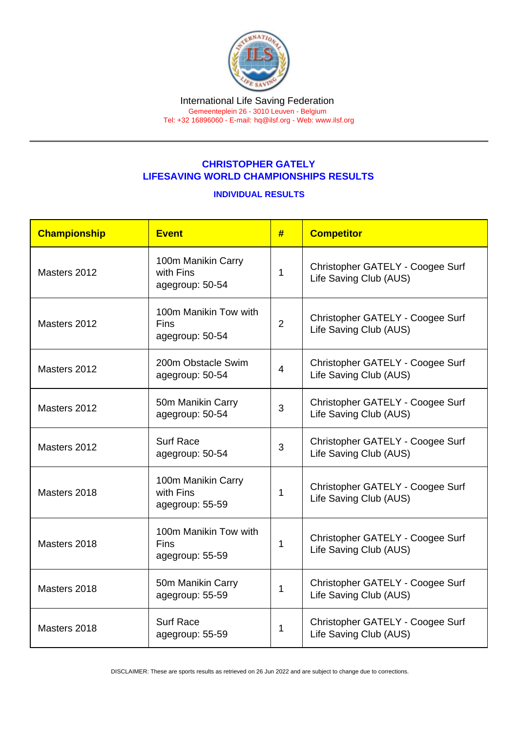## CHRISTOPHER GATELY LIFESAVING WORLD CHAMPIONSHIPS RESULTS

## INDIVIDUAL RESULTS

| Championship | <b>Event</b>                                       | #              | <b>Competitor</b>                                          |  |
|--------------|----------------------------------------------------|----------------|------------------------------------------------------------|--|
| Masters 2012 | 100m Manikin Carry<br>with Fins<br>agegroup: 50-54 | 1              | Christopher GATELY - Coogee Surf<br>Life Saving Club (AUS) |  |
| Masters 2012 | 100m Manikin Tow with<br>Fins<br>agegroup: 50-54   | $\overline{2}$ | Christopher GATELY - Coogee Surf<br>Life Saving Club (AUS) |  |
| Masters 2012 | 200m Obstacle Swim<br>agegroup: 50-54              | $\overline{4}$ | Christopher GATELY - Coogee Surf<br>Life Saving Club (AUS) |  |
| Masters 2012 | 50m Manikin Carry<br>agegroup: 50-54               | 3              | Christopher GATELY - Coogee Surf<br>Life Saving Club (AUS) |  |
| Masters 2012 | <b>Surf Race</b><br>agegroup: 50-54                | 3              | Christopher GATELY - Coogee Surf<br>Life Saving Club (AUS) |  |
| Masters 2018 | 100m Manikin Carry<br>with Fins<br>agegroup: 55-59 | 1              | Christopher GATELY - Coogee Surf<br>Life Saving Club (AUS) |  |
| Masters 2018 | 100m Manikin Tow with<br>Fins<br>agegroup: 55-59   | 1              | Christopher GATELY - Coogee Surf<br>Life Saving Club (AUS) |  |
| Masters 2018 | 50m Manikin Carry<br>agegroup: 55-59               | 1              | Christopher GATELY - Coogee Surf<br>Life Saving Club (AUS) |  |
| Masters 2018 | <b>Surf Race</b><br>agegroup: 55-59                | 1              | Christopher GATELY - Coogee Surf<br>Life Saving Club (AUS) |  |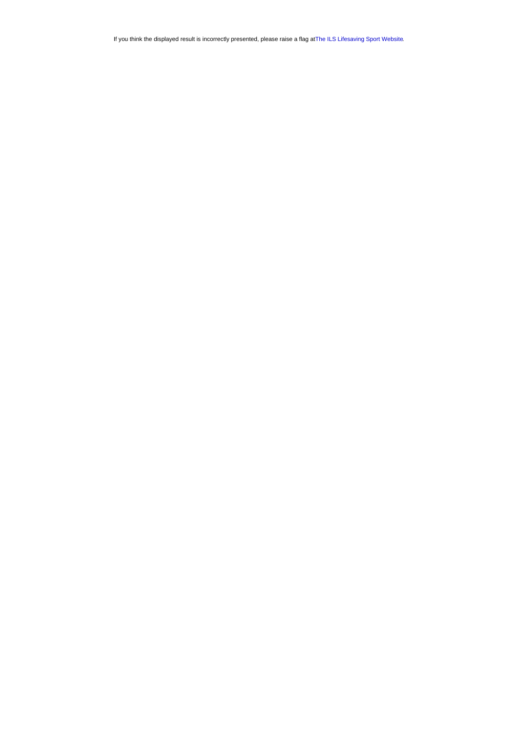If you think the displayed result is incorrectly presented, please raise a flag at [The ILS Lifesaving Sport Website.](https://sport.ilsf.org)